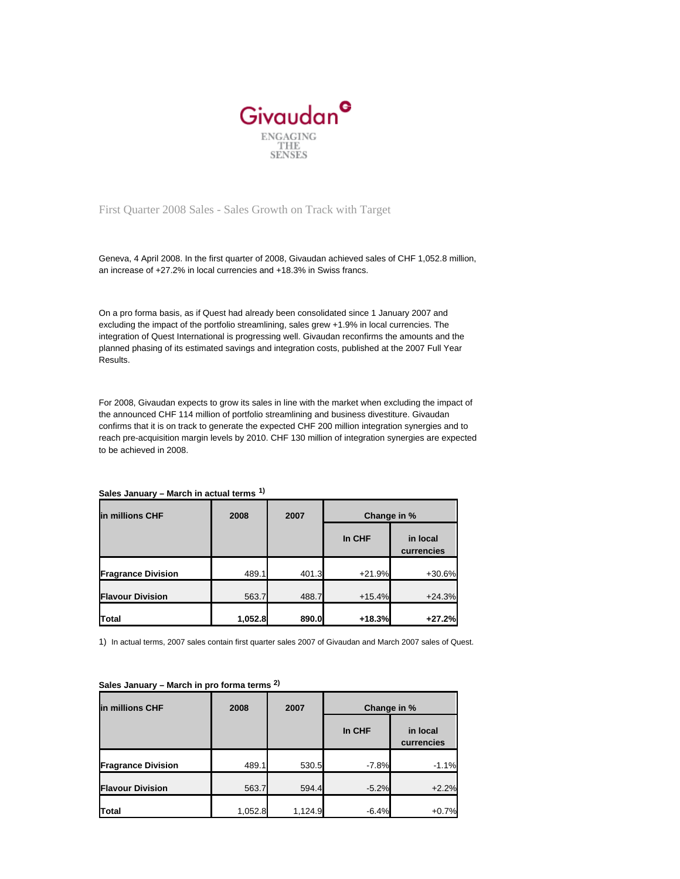

# First Quarter 2008 Sales - Sales Growth on Track with Target

Geneva, 4 April 2008. In the first quarter of 2008, Givaudan achieved sales of CHF 1,052.8 million, an increase of +27.2% in local currencies and +18.3% in Swiss francs.

On a pro forma basis, as if Quest had already been consolidated since 1 January 2007 and excluding the impact of the portfolio streamlining, sales grew +1.9% in local currencies. The integration of Quest International is progressing well. Givaudan reconfirms the amounts and the planned phasing of its estimated savings and integration costs, published at the 2007 Full Year Results.

For 2008, Givaudan expects to grow its sales in line with the market when excluding the impact of the announced CHF 114 million of portfolio streamlining and business divestiture. Givaudan confirms that it is on track to generate the expected CHF 200 million integration synergies and to reach pre-acquisition margin levels by 2010. CHF 130 million of integration synergies are expected to be achieved in 2008.

### **Sales January – March in actual terms 1)**

| lin millions CHF          | 2008    | 2007  | Change in % |                        |
|---------------------------|---------|-------|-------------|------------------------|
|                           |         |       | In CHF      | in local<br>currencies |
| <b>Fragrance Division</b> | 489.1   | 401.3 | $+21.9%$    | $+30.6%$               |
| <b>Flavour Division</b>   | 563.7   | 488.7 | $+15.4%$    | $+24.3%$               |
| <b>Total</b>              | 1,052.8 | 890.0 | $+18.3%$    | $+27.2%$               |

1) In actual terms, 2007 sales contain first quarter sales 2007 of Givaudan and March 2007 sales of Quest.

| lin millions CHF          | 2008    | 2007    | Change in % |                        |
|---------------------------|---------|---------|-------------|------------------------|
|                           |         |         | In CHF      | in local<br>currencies |
| <b>Fragrance Division</b> | 489.1   | 530.5   | $-7.8%$     | $-1.1%$                |
| <b>Flavour Division</b>   | 563.7   | 594.4   | $-5.2%$     | $+2.2%$                |
| <b>Total</b>              | 1,052.8 | 1,124.9 | $-6.4%$     | $+0.7%$                |

# **Sales January – March in pro forma terms 2)**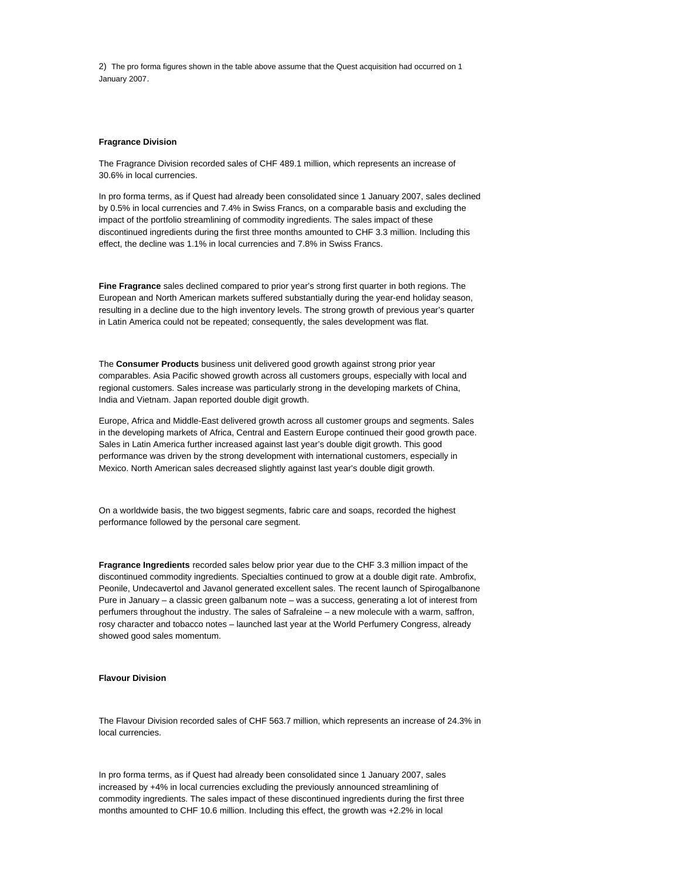2) The pro forma figures shown in the table above assume that the Quest acquisition had occurred on 1 January 2007.

#### **Fragrance Division**

The Fragrance Division recorded sales of CHF 489.1 million, which represents an increase of 30.6% in local currencies.

In pro forma terms, as if Quest had already been consolidated since 1 January 2007, sales declined by 0.5% in local currencies and 7.4% in Swiss Francs, on a comparable basis and excluding the impact of the portfolio streamlining of commodity ingredients. The sales impact of these discontinued ingredients during the first three months amounted to CHF 3.3 million. Including this effect, the decline was 1.1% in local currencies and 7.8% in Swiss Francs.

**Fine Fragrance** sales declined compared to prior year's strong first quarter in both regions. The European and North American markets suffered substantially during the year-end holiday season, resulting in a decline due to the high inventory levels. The strong growth of previous year's quarter in Latin America could not be repeated; consequently, the sales development was flat.

The **Consumer Products** business unit delivered good growth against strong prior year comparables. Asia Pacific showed growth across all customers groups, especially with local and regional customers. Sales increase was particularly strong in the developing markets of China, India and Vietnam. Japan reported double digit growth.

Europe, Africa and Middle-East delivered growth across all customer groups and segments. Sales in the developing markets of Africa, Central and Eastern Europe continued their good growth pace. Sales in Latin America further increased against last year's double digit growth. This good performance was driven by the strong development with international customers, especially in Mexico. North American sales decreased slightly against last year's double digit growth.

On a worldwide basis, the two biggest segments, fabric care and soaps, recorded the highest performance followed by the personal care segment.

**Fragrance Ingredients** recorded sales below prior year due to the CHF 3.3 million impact of the discontinued commodity ingredients. Specialties continued to grow at a double digit rate. Ambrofix, Peonile, Undecavertol and Javanol generated excellent sales. The recent launch of Spirogalbanone Pure in January – a classic green galbanum note – was a success, generating a lot of interest from perfumers throughout the industry. The sales of Safraleine – a new molecule with a warm, saffron, rosy character and tobacco notes – launched last year at the World Perfumery Congress, already showed good sales momentum.

## **Flavour Division**

The Flavour Division recorded sales of CHF 563.7 million, which represents an increase of 24.3% in local currencies.

In pro forma terms, as if Quest had already been consolidated since 1 January 2007, sales increased by +4% in local currencies excluding the previously announced streamlining of commodity ingredients. The sales impact of these discontinued ingredients during the first three months amounted to CHF 10.6 million. Including this effect, the growth was +2.2% in local